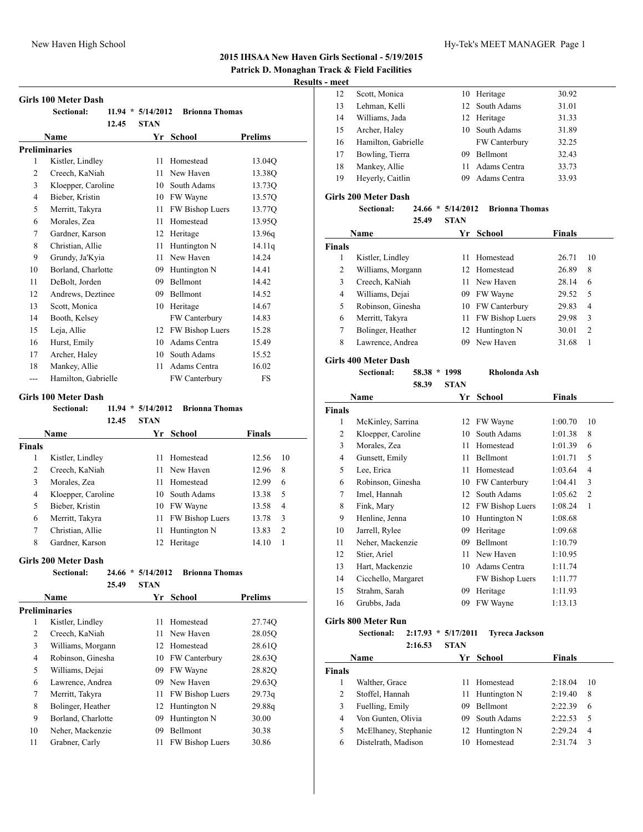**Patrick D. Monaghan Track & Field Facilities**

**Results - meet**

|    | <b>Girls 100 Meter Dash</b> |               |                       |                | 14             |
|----|-----------------------------|---------------|-----------------------|----------------|----------------|
|    | Sectional:<br>11.94         | $*$ 5/14/2012 | <b>Brionna Thomas</b> |                | 13<br>14       |
|    | 12.45                       | <b>STAN</b>   |                       |                | 15             |
|    | Name                        | Yr            | School                | <b>Prelims</b> | 16             |
|    | <b>Preliminaries</b>        |               |                       |                | 17             |
| 1  | Kistler, Lindley            | 11            | Homestead             | 13.04Q         | 18             |
| 2  | Creech, KaNiah              | 11            | New Haven             | 13.38Q         | 19             |
| 3  | Kloepper, Caroline          | 10            | South Adams           | 13.73Q         |                |
| 4  | Bieber, Kristin             | 10            | FW Wayne              | 13.57Q         | Girls 20       |
| 5  | Merritt, Takyra             | 11            | FW Bishop Luers       | 13.77Q         |                |
| 6  | Morales, Zea                | 11            | Homestead             | 13.95O         |                |
| 7  | Gardner, Karson             | 12            | Heritage              | 13.96q         | $N_{i}$        |
| 8  | Christian, Allie            | 11            | Huntington N          | 14.11q         | <b>Finals</b>  |
| 9  | Grundy, Ja'Kyia             | 11            | New Haven             | 14.24          |                |
| 10 | Borland, Charlotte          | 09            | Huntington N          | 14.41          | $\overline{c}$ |
| 11 | DeBolt, Jorden              | 09            | <b>Bellmont</b>       | 14.42          | 3              |
| 12 | Andrews, Deztinee           | 09            | <b>Bellmont</b>       | 14.52          | $\overline{4}$ |
| 13 | Scott, Monica               | 10            | Heritage              | 14.67          | 5              |
| 14 | Booth, Kelsey               |               | FW Canterbury         | 14.83          | 6              |
| 15 | Leja, Allie                 | 12            | FW Bishop Luers       | 15.28          | 7              |
| 16 | Hurst, Emily                | 10            | Adams Centra          | 15.49          | 8              |
| 17 | Archer, Haley               | 10            | South Adams           | 15.52          | $\sim \cdot$ . |

#### **Girls 100 Meter Dash**

|               | Sectional:         | 11.94<br>$\ast$ | 5/14/2012   | <b>Brionna Thomas</b> |               |    |
|---------------|--------------------|-----------------|-------------|-----------------------|---------------|----|
|               |                    | 12.45           | <b>STAN</b> |                       |               |    |
|               | <b>Name</b>        |                 | Yr          | <b>School</b>         | <b>Finals</b> |    |
| <b>Finals</b> |                    |                 |             |                       |               |    |
| 1             | Kistler, Lindley   |                 | 11          | Homestead             | 12.56         | 10 |
| 2             | Creech, KaNiah     |                 | 11          | New Haven             | 12.96         | 8  |
| 3             | Morales, Zea       |                 | 11          | Homestead             | 12.99         | 6  |
| 4             | Kloepper, Caroline |                 | 10          | South Adams           | 13.38         | 5  |
| 5             | Bieber, Kristin    |                 | 10          | FW Wayne              | 13.58         | 4  |
| 6             | Merritt, Takyra    |                 | 11          | FW Bishop Luers       | 13.78         | 3  |
| 7             | Christian, Allie   |                 | 11          | Huntington N          | 13.83         | 2  |
| 8             | Gardner, Karson    |                 | 12          | Heritage              | 14.10         |    |

 Mankey, Allie 11 Adams Centra 16.02 --- Hamilton, Gabrielle FW Canterbury FS

#### **Girls 200 Meter Dash**

| <b>Sectional:</b> |         | $24.66 * 5/14/2012$ | Brionna Thomas |
|-------------------|---------|---------------------|----------------|
|                   | 25.49 · | - STAN              |                |

|               | 23.4Y              | SIAN |                        |                |  |
|---------------|--------------------|------|------------------------|----------------|--|
|               | <b>Name</b>        | Yr   | <b>School</b>          | <b>Prelims</b> |  |
| Preliminaries |                    |      |                        |                |  |
| 1             | Kistler, Lindley   | 11   | Homestead              | 27.74Q         |  |
| 2             | Creech, KaNiah     | 11   | New Haven              | 28.05O         |  |
| 3             | Williams, Morgann  | 12   | Homestead              | 28.61Q         |  |
| 4             | Robinson, Ginesha  | 10   | <b>FW Canterbury</b>   | 28.63Q         |  |
| 5             | Williams, Dejai    | 09   | FW Wayne               | 28.82Q         |  |
| 6             | Lawrence, Andrea   | 09   | New Haven              | 29.63Q         |  |
| 7             | Merritt, Takyra    | 11   | <b>FW Bishop Luers</b> | 29.73q         |  |
| 8             | Bolinger, Heather  | 12   | Huntington N           | 29.88g         |  |
| 9             | Borland, Charlotte | 09   | Huntington N           | 30.00          |  |
| 10            | Neher, Mackenzie   | 09   | Bellmont               | 30.38          |  |
| 11            | Grabner, Carly     | 11   | FW Bishop Luers        | 30.86          |  |
|               |                    |      |                        |                |  |

| 12 | Scott, Monica       |    | 10 Heritage    | 30.92 |
|----|---------------------|----|----------------|-------|
| 13 | Lehman, Kelli       |    | 12 South Adams | 31.01 |
| 14 | Williams, Jada      |    | 12 Heritage    | 31.33 |
| 15 | Archer, Haley       | 10 | South Adams    | 31.89 |
| 16 | Hamilton, Gabrielle |    | FW Canterbury  | 32.25 |
| 17 | Bowling, Tierra     | 09 | Bellmont       | 32.43 |
| 18 | Mankey, Allie       | 11 | Adams Centra   | 33.73 |
| 19 | Heyerly, Caitlin    | 09 | Adams Centra   | 33.93 |

## **Girls 200 Meter Dash**

# **Sectional: 24.66 \* 5/14/2012 Brionna Thomas**

| <b>STAN</b><br>25.49 |
|----------------------|
|----------------------|

| Name           |                   |      | Yr School        | <b>Finals</b> |                |
|----------------|-------------------|------|------------------|---------------|----------------|
| <b>Finals</b>  |                   |      |                  |               |                |
| 1              | Kistler, Lindley  | 11   | Homestead        | 26.71         | 10             |
| $\overline{c}$ | Williams, Morgann |      | 12 Homestead     | 26.89         | 8              |
| 3              | Creech, KaNiah    |      | New Haven        | 28.14         | 6              |
| $\overline{4}$ | Williams, Dejai   | 09   | FW Wayne         | 29.52         | 5              |
| 5              | Robinson, Ginesha |      | 10 FW Canterbury | 29.83         | 4              |
| 6              | Merritt, Takyra   | 11 - | FW Bishop Luers  | 29.98         | 3              |
| 7              | Bolinger, Heather |      | 12 Huntington N  | 30.01         | $\overline{c}$ |
| 8              | Lawrence, Andrea  | 09   | New Haven        | 31.68         |                |

#### **Girls 400 Meter Dash**

**Sectional: 58.38 \* 1998 Rholonda Ash**

### **58.39 STAN**

| Name          |                     | Yr | <b>School</b>          | Finals  |                |
|---------------|---------------------|----|------------------------|---------|----------------|
| <b>Finals</b> |                     |    |                        |         |                |
| 1             | McKinley, Sarrina   | 12 | FW Wayne               | 1:00.70 | 10             |
| 2             | Kloepper, Caroline  | 10 | South Adams            | 1:01.38 | 8              |
| 3             | Morales, Zea        | 11 | Homestead              | 1:01.39 | 6              |
| 4             | Gunsett, Emily      | 11 | Bellmont               | 1:01.71 | 5              |
| 5             | Lee, Erica          | 11 | Homestead              | 1:03.64 | $\overline{4}$ |
| 6             | Robinson, Ginesha   | 10 | FW Canterbury          | 1:04.41 | 3              |
| 7             | Imel, Hannah        | 12 | South Adams            | 1:05.62 | $\overline{2}$ |
| 8             | Fink, Mary          | 12 | <b>FW Bishop Luers</b> | 1:08.24 | $\mathbf{1}$   |
| 9             | Henline, Jenna      | 10 | Huntington N           | 1:08.68 |                |
| 10            | Jarrell, Rylee      | 09 | Heritage               | 1:09.68 |                |
| 11            | Neher, Mackenzie    | 09 | Bellmont               | 1:10.79 |                |
| 12            | Stier, Ariel        | 11 | New Haven              | 1:10.95 |                |
| 13            | Hart, Mackenzie     | 10 | Adams Centra           | 1:11.74 |                |
| 14            | Cicchello, Margaret |    | FW Bishop Luers        | 1:11.77 |                |
| 15            | Strahm, Sarah       | 09 | Heritage               | 1:11.93 |                |
| 16            | Grubbs, Jada        | 09 | FW Wayne               | 1:13.13 |                |
|               |                     |    |                        |         |                |

# **Girls 800 Meter Run**

**Sectional: 2:17.93 \* 5/17/2011 Tyreca Jackson 2:16.53 STAN**

| Name           |                      |     | Yr School       | <b>Finals</b> |    |
|----------------|----------------------|-----|-----------------|---------------|----|
| <b>Finals</b>  |                      |     |                 |               |    |
|                | Walther, Grace       | 11. | Homestead       | 2:18.04       | 10 |
| $\overline{c}$ | Stoffel, Hannah      |     | 11 Huntington N | 2:19.40       | 8  |
| 3              | Fuelling, Emily      | 09  | <b>Bellmont</b> | 2:22.39       | 6  |
| 4              | Von Gunten, Olivia   | 09. | South Adams     | 2:22.53       | 5  |
| 5              | McElhaney, Stephanie |     | 12 Huntington N | 2:29.24       | 4  |
| 6              | Distelrath, Madison  | 10  | Homestead       | 2.31.74       | 3  |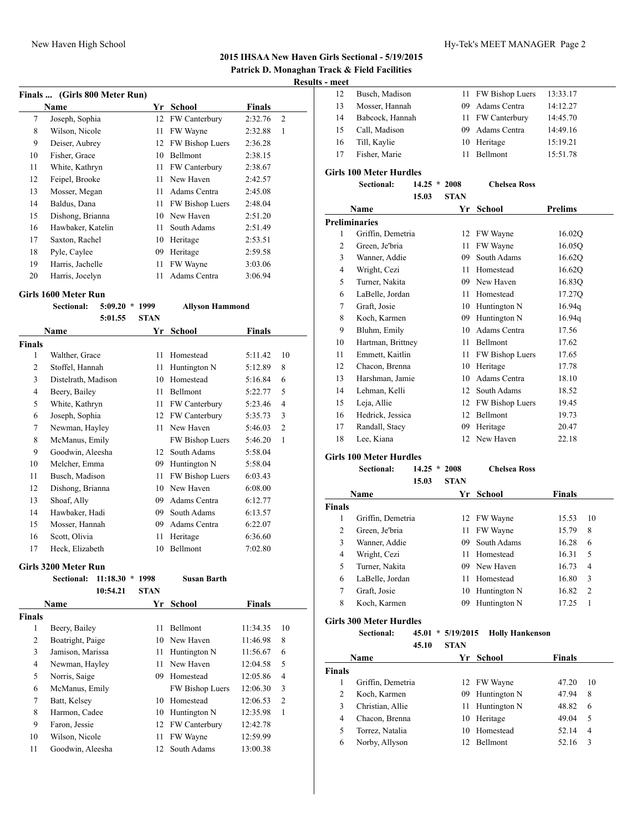|  | Patrick D. Monaghan Track & Field Facilities |  |  |  |
|--|----------------------------------------------|--|--|--|
|  |                                              |  |  |  |

# **Results - meet**

|    | Finals  (Girls 800 Meter Run) |    |                      |               |                |
|----|-------------------------------|----|----------------------|---------------|----------------|
|    | Name                          |    | School               | <b>Finals</b> |                |
| 7  | Joseph, Sophia                | 12 | <b>FW Canterbury</b> | 2:32.76       | $\overline{2}$ |
| 8  | Wilson, Nicole                | 11 | FW Wayne             | 2:32.88       | 1              |
| 9  | Deiser, Aubrey                | 12 | FW Bishop Luers      | 2:36.28       |                |
| 10 | Fisher, Grace                 | 10 | Bellmont             | 2:38.15       |                |
| 11 | White, Kathryn                | 11 | <b>FW Canterbury</b> | 2:38.67       |                |
| 12 | Feipel, Brooke                | 11 | New Haven            | 2:42.57       |                |
| 13 | Mosser, Megan                 | 11 | Adams Centra         | 2:45.08       |                |
| 14 | Baldus, Dana                  | 11 | FW Bishop Luers      | 2:48.04       |                |
| 15 | Dishong, Brianna              | 10 | New Haven            | 2:51.20       |                |
| 16 | Hawbaker, Katelin             | 11 | South Adams          | 2:51.49       |                |
| 17 | Saxton, Rachel                | 10 | Heritage             | 2:53.51       |                |
| 18 | Pyle, Caylee                  | 09 | Heritage             | 2:59.58       |                |
| 19 | Harris, Jachelle              | 11 | FW Wayne             | 3:03.06       |                |
| 20 | Harris, Jocelyn               | 11 | Adams Centra         | 3:06.94       |                |

#### **Girls 1600 Meter Run**

**Sectional: 5:09.20 \* 1999 Allyson Hammond**

|                | 5:01.55             | <b>STAN</b> |                      |         |                |
|----------------|---------------------|-------------|----------------------|---------|----------------|
|                | Name                | Yr          | School               | Finals  |                |
| <b>Finals</b>  |                     |             |                      |         |                |
| 1              | Walther, Grace      | 11          | Homestead            | 5:11.42 | 10             |
| 2              | Stoffel, Hannah     | 11          | Huntington N         | 5:12.89 | 8              |
| 3              | Distelrath, Madison | 10          | Homestead            | 5:16.84 | 6              |
| $\overline{4}$ | Beery, Bailey       | 11          | Bellmont             | 5:22.77 | 5              |
| 5              | White, Kathryn      | 11          | <b>FW Canterbury</b> | 5:23.46 | 4              |
| 6              | Joseph, Sophia      | 12          | FW Canterbury        | 5:35.73 | 3              |
| 7              | Newman, Hayley      | 11          | New Haven            | 5:46.03 | $\overline{c}$ |
| 8              | McManus, Emily      |             | FW Bishop Luers      | 5:46.20 | 1              |
| 9              | Goodwin, Aleesha    | 12          | South Adams          | 5:58.04 |                |
| 10             | Melcher, Emma       | 09          | Huntington N         | 5:58.04 |                |
| 11             | Busch, Madison      | 11          | FW Bishop Luers      | 6:03.43 |                |
| 12             | Dishong, Brianna    | 10          | New Haven            | 6:08.00 |                |
| 13             | Shoaf, Ally         | 09          | Adams Centra         | 6:12.77 |                |
| 14             | Hawbaker, Hadi      | 09          | South Adams          | 6:13.57 |                |
| 15             | Mosser, Hannah      | 09          | Adams Centra         | 6:22.07 |                |
| 16             | Scott, Olivia       | 11          | Heritage             | 6:36.60 |                |
| 17             | Heck, Elizabeth     | 10          | Bellmont             | 7:02.80 |                |

## **Girls 3200 Meter Run**

|               | Sectional:       | 11:18.30<br>÷ | 1998        | Susan Barth          |               |                |
|---------------|------------------|---------------|-------------|----------------------|---------------|----------------|
|               |                  | 10:54.21      | <b>STAN</b> |                      |               |                |
|               | <b>Name</b>      |               | Yr          | <b>School</b>        | <b>Finals</b> |                |
| <b>Finals</b> |                  |               |             |                      |               |                |
| 1             | Beery, Bailey    |               | 11          | <b>Bellmont</b>      | 11:34.35      | 10             |
| 2             | Boatright, Paige |               | 10          | New Haven            | 11:46.98      | 8              |
| 3             | Jamison, Marissa |               | 11          | Huntington N         | 11:56.67      | 6              |
| 4             | Newman, Hayley   |               | 11          | New Haven            | 12:04.58      | 5              |
| 5             | Norris, Saige    |               | 09          | Homestead            | 12:05.86      | $\overline{4}$ |
| 6             | McManus, Emily   |               |             | FW Bishop Luers      | 12:06.30      | 3              |
| 7             | Batt, Kelsey     |               | 10          | Homestead            | 12:06.53      | $\overline{2}$ |
| 8             | Harmon, Cadee    |               | 10          | Huntington N         | 12:35.98      | 1              |
| 9             | Faron, Jessie    |               | 12          | <b>FW Canterbury</b> | 12:42.78      |                |
| 10            | Wilson, Nicole   |               | 11          | FW Wayne             | 12:59.99      |                |
| 11            | Goodwin, Aleesha |               | 12          | South Adams          | 13:00.38      |                |

| шесі |                 |     |                    |          |
|------|-----------------|-----|--------------------|----------|
| 12   | Busch, Madison  |     | 11 FW Bishop Luers | 13:33.17 |
| 13   | Mosser, Hannah  |     | 09 Adams Centra    | 14:12.27 |
| 14   | Babcock, Hannah |     | 11 FW Canterbury   | 14:45.70 |
| 15   | Call, Madison   |     | 09 Adams Centra    | 14:49.16 |
| 16   | Till, Kaylie    |     | 10 Heritage        | 15:19.21 |
| 17   | Fisher, Marie   | 11. | Bellmont           | 15:51.78 |
|      |                 |     |                    |          |

# **Girls 100 Meter Hurdles**

**Sectional: 14.25 \* 2008 Chelsea Ross 15.03 STAN**

|    | 19.VJ                | 9 LAN |                 |                |
|----|----------------------|-------|-----------------|----------------|
|    | Name                 | Yr    | <b>School</b>   | <b>Prelims</b> |
|    | <b>Preliminaries</b> |       |                 |                |
| 1  | Griffin, Demetria    | 12    | FW Wayne        | 16.02Q         |
| 2  | Green, Je'bria       | 11    | FW Wayne        | 16.05Q         |
| 3  | Wanner, Addie        | 09    | South Adams     | 16.62Q         |
| 4  | Wright, Cezi         | 11    | Homestead       | 16.62Q         |
| 5  | Turner, Nakita       | 09    | New Haven       | 16.83Q         |
| 6  | LaBelle, Jordan      | 11    | Homestead       | 17.27Q         |
| 7  | Graft, Josie         | 10    | Huntington N    | 16.94q         |
| 8  | Koch, Karmen         | 09    | Huntington N    | 16.94q         |
| 9  | Bluhm, Emily         | 10    | Adams Centra    | 17.56          |
| 10 | Hartman, Brittney    | 11    | Bellmont        | 17.62          |
| 11 | Emmett, Kaitlin      | 11    | FW Bishop Luers | 17.65          |
| 12 | Chacon, Brenna       | 10    | Heritage        | 17.78          |
| 13 | Harshman, Jamie      | 10    | Adams Centra    | 18.10          |
| 14 | Lehman, Kelli        | 12    | South Adams     | 18.52          |
| 15 | Leja, Allie          | 12    | FW Bishop Luers | 19.45          |
| 16 | Hedrick, Jessica     | 12    | Bellmont        | 19.73          |
| 17 | Randall, Stacy       | 09    | Heritage        | 20.47          |
| 18 | Lee, Kiana           | 12    | New Haven       | 22.18          |

## **Girls 100 Meter Hurdles**

|               | Sectional:        | 14.25<br>$\ast$ | 2008        | <b>Chelsea Ross</b> |               |                |
|---------------|-------------------|-----------------|-------------|---------------------|---------------|----------------|
|               |                   | 15.03           | <b>STAN</b> |                     |               |                |
|               | Name              |                 | Yr          | <b>School</b>       | <b>Finals</b> |                |
| <b>Finals</b> |                   |                 |             |                     |               |                |
| 1             | Griffin, Demetria |                 | 12          | FW Wayne            | 15.53         | 10             |
| 2             | Green, Je'bria    |                 | 11          | FW Wayne            | 15.79         | 8              |
| 3             | Wanner, Addie     |                 | 09          | South Adams         | 16.28         | 6              |
| 4             | Wright, Cezi      |                 | 11          | Homestead           | 16.31         | 5              |
| 5             | Turner, Nakita    |                 |             | 09 New Haven        | 16.73         | $\overline{4}$ |
| 6             | LaBelle, Jordan   |                 | 11          | Homestead           | 16.80         | 3              |
| 7             | Graft, Josie      |                 | 10          | Huntington N        | 16.82         | $\overline{2}$ |
| 8             | Koch, Karmen      |                 | 09          | Huntington N        | 17.25         |                |

## **Girls 300 Meter Hurdles**

**Sectional: 45.01 \* 5/19/2015 Holly Hankenson 45.10 STAN**

|               | Name              |    | Yr School       | <b>Finals</b> |    |
|---------------|-------------------|----|-----------------|---------------|----|
| <b>Finals</b> |                   |    |                 |               |    |
|               | Griffin, Demetria |    | 12 FW Wayne     | 47.20         | 10 |
| 2             | Koch, Karmen      |    | 09 Huntington N | 47.94         | 8  |
| 3             | Christian, Allie  |    | 11 Huntington N | 48.82         | 6  |
| 4             | Chacon, Brenna    |    | 10 Heritage     | 49.04         | 5  |
| 5             | Torrez, Natalia   | 10 | Homestead       | 52.14         | 4  |
| 6             | Norby, Allyson    | 12 | <b>Bellmont</b> | 52.16         | 3  |
|               |                   |    |                 |               |    |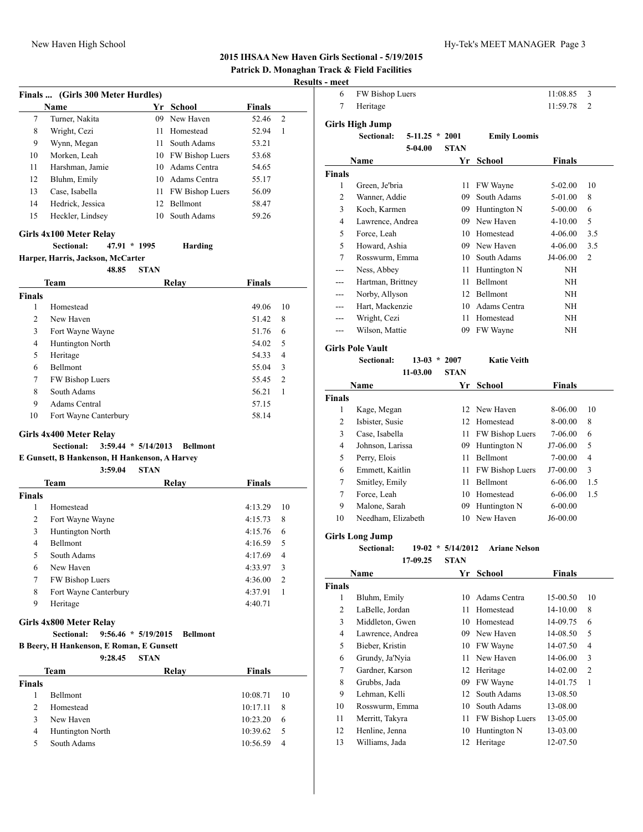**Patrick D. Monaghan Track & Field Facilities**

# **Results - meet**

|               | Finals  (Girls 300 Meter Hurdles)               |                       |                    |               |    |
|---------------|-------------------------------------------------|-----------------------|--------------------|---------------|----|
|               | Name                                            |                       | Yr School          | <b>Finals</b> |    |
| 7             | Turner, Nakita                                  |                       | 09 New Haven       | 52.46         | 2  |
| 8             | Wright, Cezi                                    | 11 -                  | Homestead          | 52.94         | 1  |
| 9             | Wynn, Megan                                     | 11 -                  | South Adams        | 53.21         |    |
| 10            | Morken, Leah                                    |                       | 10 FW Bishop Luers | 53.68         |    |
| 11            | Harshman, Jamie                                 |                       | 10 Adams Centra    | 54.65         |    |
| 12            | Bluhm, Emily                                    |                       | 10 Adams Centra    | 55.17         |    |
| 13            | Case, Isabella                                  | 11 -                  | FW Bishop Luers    | 56.09         |    |
| 14            | Hedrick, Jessica                                |                       | 12 Bellmont        | 58.47         |    |
| 15            | Heckler, Lindsey                                |                       | 10 South Adams     | 59.26         |    |
|               | Girls 4x100 Meter Relay                         |                       |                    |               |    |
|               | Sectional:<br>47.91 * 1995                      |                       | Harding            |               |    |
|               | Harper, Harris, Jackson, McCarter               |                       |                    |               |    |
|               | 48.85                                           | <b>STAN</b>           |                    |               |    |
|               | Team                                            |                       | Relay              | Finals        |    |
| <b>Finals</b> |                                                 |                       |                    |               |    |
| 1             | Homestead                                       |                       |                    | 49.06         | 10 |
| 2             | New Haven                                       |                       |                    | 51.42         | 8  |
| 3             | Fort Wayne Wayne                                |                       |                    | 51.76         | 6  |
| 4             | Huntington North                                |                       |                    | 54.02         | 5  |
| 5             | Heritage                                        |                       |                    | 54.33         | 4  |
| 6             | Bellmont                                        |                       |                    | 55.04         | 3  |
| 7             | FW Bishop Luers                                 |                       |                    | 55.45         | 2  |
| 8             | South Adams                                     |                       |                    | 56.21         | 1  |
| 9             | <b>Adams Central</b>                            |                       |                    | 57.15         |    |
| 10            | Fort Wayne Canterbury                           |                       |                    | 58.14         |    |
|               | Girls 4x400 Meter Relay                         |                       |                    |               |    |
|               | Sectional:                                      | $3:59.44 * 5/14/2013$ | <b>Bellmont</b>    |               |    |
|               | E Gunsett, B Hankenson, H Hankenson, A Harvey   |                       |                    |               |    |
|               | 3:59.04<br>Team                                 | <b>STAN</b>           | Relay              | Finals        |    |
| <b>Finals</b> |                                                 |                       |                    |               |    |
| 1             | Homestead                                       |                       |                    | 4:13.29       | 10 |
| 2             | Fort Wayne Wayne                                |                       |                    | 4:15.73       | 8  |
| 3             | Huntington North                                |                       |                    | 4:15.76       | 6  |
| 4             | Bellmont                                        |                       |                    | 4:16.59       | 5  |
| 5             | South Adams                                     |                       |                    | 4:17.69       | 4  |
| 6             | New Haven                                       |                       |                    | 4:33.97       | 3  |
| 7             | FW Bishop Luers                                 |                       |                    | 4:36.00       | 2  |
| 8             | Fort Wayne Canterbury                           |                       |                    | 4:37.91       | 1  |
| 9             | Heritage                                        |                       |                    | 4:40.71       |    |
|               | Girls 4x800 Meter Relay                         |                       |                    |               |    |
|               | <b>Sectional:</b>                               | $9:56.46 * 5/19/2015$ | <b>Bellmont</b>    |               |    |
|               | <b>B Beery, H Hankenson, E Roman, E Gunsett</b> |                       |                    |               |    |
|               | 9:28.45                                         | <b>STAN</b>           |                    |               |    |
|               | Team                                            |                       | Relay              | Finals        |    |
| <b>Finals</b> |                                                 |                       |                    |               |    |
| 1             | Bellmont                                        |                       |                    | 10:08.71      | 10 |
| 2             | Homestead                                       |                       |                    | 10:17.11      | 8  |
| 3             | New Haven                                       |                       |                    | 10:23.20      | 6  |
| 4             | Huntington North                                |                       |                    | 10:39.62      | 5  |
| 5             | South Adams                                     |                       |                    | 10:56.59      | 4  |

| - шссі             |                                      |                  |                     |                      |               |                |
|--------------------|--------------------------------------|------------------|---------------------|----------------------|---------------|----------------|
| 6                  | FW Bishop Luers                      |                  |                     |                      | 11:08.85      | 3              |
| 7                  | Heritage                             |                  |                     |                      | 11:59.78      | $\overline{c}$ |
|                    |                                      |                  |                     |                      |               |                |
|                    | Girls High Jump<br><b>Sectional:</b> | $5-11.25 * 2001$ |                     | <b>Emily Loomis</b>  |               |                |
|                    |                                      | 5-04.00          | <b>STAN</b>         |                      |               |                |
|                    |                                      |                  |                     | Yr School            | <b>Finals</b> |                |
|                    | Name                                 |                  |                     |                      |               |                |
| <b>Finals</b><br>1 | Green, Je'bria                       |                  | 11                  | FW Wayne             | 5-02.00       | 10             |
| 2                  | Wanner, Addie                        |                  | 09                  | South Adams          | 5-01.00       | 8              |
| 3                  | Koch, Karmen                         |                  |                     | 09 Huntington N      | 5-00.00       | 6              |
| 4                  | Lawrence, Andrea                     |                  |                     | 09 New Haven         | 4-10.00       | 5              |
| 5                  | Force, Leah                          |                  |                     | 10 Homestead         | 4-06.00       | 3.5            |
| 5                  | Howard, Ashia                        |                  |                     | 09 New Haven         | 4-06.00       | 3.5            |
| $\overline{7}$     | Rosswurm, Emma                       |                  |                     | 10 South Adams       | J4-06.00      | $\overline{c}$ |
| ---                | Ness, Abbey                          |                  |                     | 11 Huntington N      | NH            |                |
| ---                | Hartman, Brittney                    |                  | 11.                 | Bellmont             | NH            |                |
| ---                | Norby, Allyson                       |                  |                     | 12 Bellmont          | NH            |                |
| ---                | Hart, Mackenzie                      |                  |                     | 10 Adams Centra      | NH            |                |
|                    |                                      |                  | 11                  | Homestead            | ΝH            |                |
| ---<br>---         | Wright, Cezi<br>Wilson, Mattie       |                  | 09                  | FW Wayne             | ΝH            |                |
|                    |                                      |                  |                     |                      |               |                |
|                    | <b>Girls Pole Vault</b>              |                  |                     |                      |               |                |
|                    | Sectional:                           | $13-03 * 2007$   |                     | <b>Katie Veith</b>   |               |                |
|                    |                                      | 11-03.00         | <b>STAN</b>         |                      |               |                |
|                    | Name                                 |                  | Yr                  | School               | <b>Finals</b> |                |
| <b>Finals</b>      |                                      |                  |                     |                      |               |                |
| 1                  | Kage, Megan                          |                  |                     | 12 New Haven         | 8-06.00       | 10             |
| 2                  | Isbister, Susie                      |                  |                     | 12 Homestead         | 8-00.00       | 8              |
| 3                  | Case, Isabella                       |                  |                     | 11 FW Bishop Luers   | 7-06.00       | 6              |
| 4                  | Johnson, Larissa                     |                  |                     | 09 Huntington N      | J7-06.00      | 5              |
| 5                  | Perry, Elois                         |                  |                     | 11 Bellmont          | 7-00.00       | 4              |
| 6                  | Emmett, Kaitlin                      |                  | 11                  | FW Bishop Luers      | J7-00.00      | 3              |
| 7                  | Smitley, Emily                       |                  | 11                  | Bellmont             | 6-06.00       | 1.5            |
| 7                  | Force, Leah                          |                  | 10                  | Homestead            | 6-06.00       | 1.5            |
| 9                  | Malone, Sarah                        |                  | 09                  | Huntington N         | 6-00.00       |                |
| 10                 | Needham, Elizabeth                   |                  | 10                  | New Haven            | J6-00.00      |                |
|                    | <b>Girls Long Jump</b>               |                  |                     |                      |               |                |
|                    | Sectional:                           |                  | $19-02 * 5/14/2012$ | <b>Ariane Nelson</b> |               |                |
|                    |                                      | 17-09.25         | <b>STAN</b>         |                      |               |                |
|                    | Name                                 |                  | Yr                  | <b>School</b>        | <b>Finals</b> |                |
| <b>Finals</b>      |                                      |                  |                     |                      |               |                |
| $\mathbf{1}$       | Bluhm, Emily                         |                  | 10                  | Adams Centra         | 15-00.50      | 10             |
| 2                  | LaBelle, Jordan                      |                  | 11                  | Homestead            | 14-10.00      | 8              |
| 3                  | Middleton, Gwen                      |                  | 10                  | Homestead            | 14-09.75      | 6              |
| 4                  | Lawrence, Andrea                     |                  | 09                  | New Haven            | 14-08.50      | 5              |
| 5                  | Bieber, Kristin                      |                  | 10                  | FW Wayne             | 14-07.50      | 4              |
| 6                  | Grundy, Ja'Nyia                      |                  | 11                  | New Haven            | 14-06.00      | 3              |
| 7                  | Gardner, Karson                      |                  | 12                  | Heritage             | 14-02.00      | 2              |
| 8                  | Grubbs, Jada                         |                  | 09                  | FW Wayne             | 14-01.75      | 1              |
| 9                  | Lehman, Kelli                        |                  | 12                  | South Adams          | 13-08.50      |                |
| 10                 | Rosswurm, Emma                       |                  |                     | 10 South Adams       | 13-08.00      |                |
|                    |                                      |                  |                     |                      |               |                |

11 Merritt, Takyra 11 FW Bishop Luers 13-05.00 12 Henline, Jenna 10 Huntington N 13-03.00 13 Williams, Jada 12 Heritage 12-07.50